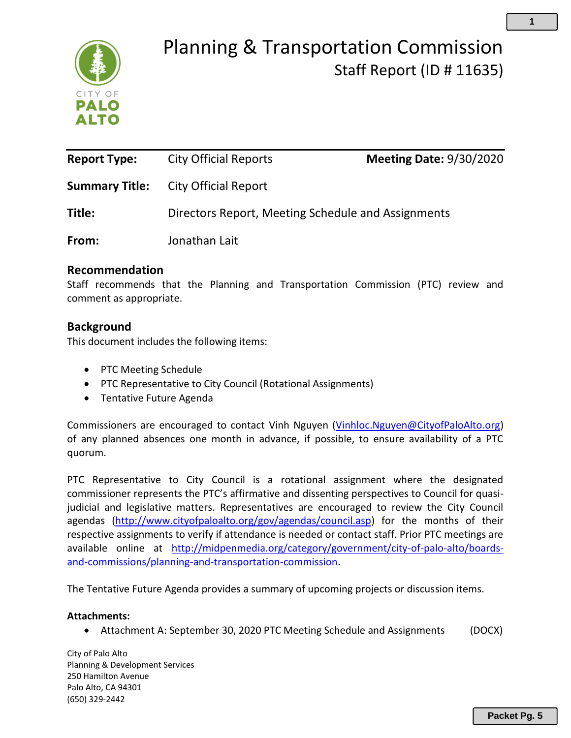

## Planning & Transportation Commission Staff Report (ID # 11635)

| <b>Report Type:</b>   | <b>City Official Reports</b>                       | <b>Meeting Date: 9/30/2020</b> |
|-----------------------|----------------------------------------------------|--------------------------------|
| <b>Summary Title:</b> | City Official Report                               |                                |
| Title:                | Directors Report, Meeting Schedule and Assignments |                                |
| From:                 | Jonathan Lait                                      |                                |

### **Recommendation**

Staff recommends that the Planning and Transportation Commission (PTC) review and comment as appropriate.

## **Background**

This document includes the following items:

- PTC Meeting Schedule
- PTC Representative to City Council (Rotational Assignments)
- Tentative Future Agenda

Commissioners are encouraged to contact Vinh Nguyen [\(Vinhloc.Nguyen@CityofPaloAlto.org\)](mailto:Vinhloc.Nguyen@CityofPaloAlto.org) of any planned absences one month in advance, if possible, to ensure availability of a PTC quorum.

PTC Representative to City Council is a rotational assignment where the designated commissioner represents the PTC's affirmative and dissenting perspectives to Council for quasijudicial and legislative matters. Representatives are encouraged to review the City Council agendas [\(http://www.cityofpaloalto.org/gov/agendas/council.asp\)](http://www.cityofpaloalto.org/gov/agendas/council.asp) for the months of their respective assignments to verify if attendance is needed or contact staff. Prior PTC meetings are available online at [http://midpenmedia.org/category/government/city-of-palo-alto/boards](http://midpenmedia.org/category/government/city-of-palo-alto/boards-and-commissions/planning-and-transportation-commission)[and-commissions/planning-and-transportation-commission.](http://midpenmedia.org/category/government/city-of-palo-alto/boards-and-commissions/planning-and-transportation-commission)

The Tentative Future Agenda provides a summary of upcoming projects or discussion items.

#### **Attachments:**

• Attachment A: September 30, 2020 PTC Meeting Schedule and Assignments (DOCX)

City of Palo Alto Planning & Development Services 250 Hamilton Avenue Palo Alto, CA 94301 (650) 329-2442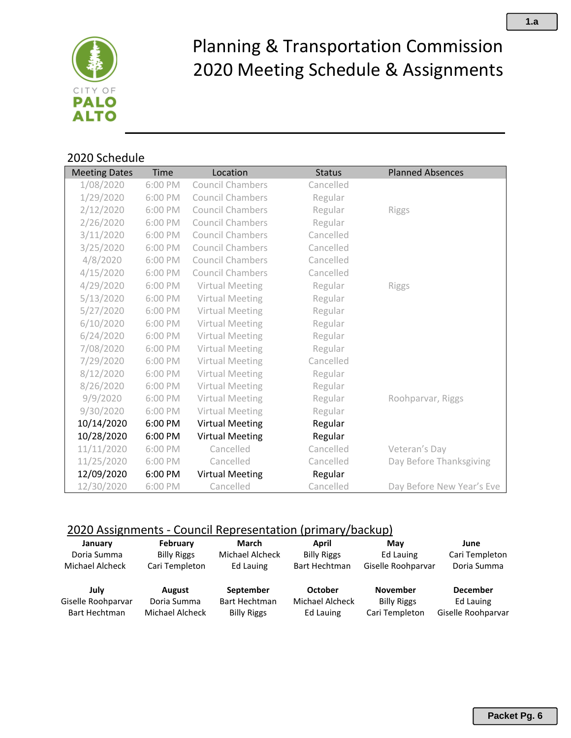

# Planning & Transportation Commission 2020 Meeting Schedule & Assignments

## 2020 Schedule

| <b>Meeting Dates</b> | Time    | Location                | <b>Status</b> | <b>Planned Absences</b>   |
|----------------------|---------|-------------------------|---------------|---------------------------|
| 1/08/2020            | 6:00 PM | <b>Council Chambers</b> | Cancelled     |                           |
| 1/29/2020            | 6:00 PM | <b>Council Chambers</b> | Regular       |                           |
| 2/12/2020            | 6:00 PM | <b>Council Chambers</b> | Regular       | <b>Riggs</b>              |
| 2/26/2020            | 6:00 PM | <b>Council Chambers</b> | Regular       |                           |
| 3/11/2020            | 6:00 PM | <b>Council Chambers</b> | Cancelled     |                           |
| 3/25/2020            | 6:00 PM | <b>Council Chambers</b> | Cancelled     |                           |
| 4/8/2020             | 6:00 PM | <b>Council Chambers</b> | Cancelled     |                           |
| 4/15/2020            | 6:00 PM | <b>Council Chambers</b> | Cancelled     |                           |
| 4/29/2020            | 6:00 PM | Virtual Meeting         | Regular       | Riggs                     |
| 5/13/2020            | 6:00 PM | Virtual Meeting         | Regular       |                           |
| 5/27/2020            | 6:00 PM | Virtual Meeting         | Regular       |                           |
| 6/10/2020            | 6:00 PM | Virtual Meeting         | Regular       |                           |
| 6/24/2020            | 6:00 PM | Virtual Meeting         | Regular       |                           |
| 7/08/2020            | 6:00 PM | Virtual Meeting         | Regular       |                           |
| 7/29/2020            | 6:00 PM | Virtual Meeting         | Cancelled     |                           |
| 8/12/2020            | 6:00 PM | Virtual Meeting         | Regular       |                           |
| 8/26/2020            | 6:00 PM | Virtual Meeting         | Regular       |                           |
| 9/9/2020             | 6:00 PM | Virtual Meeting         | Regular       | Roohparvar, Riggs         |
| 9/30/2020            | 6:00 PM | Virtual Meeting         | Regular       |                           |
| 10/14/2020           | 6:00 PM | <b>Virtual Meeting</b>  | Regular       |                           |
| 10/28/2020           | 6:00 PM | <b>Virtual Meeting</b>  | Regular       |                           |
| 11/11/2020           | 6:00 PM | Cancelled               | Cancelled     | Veteran's Day             |
| 11/25/2020           | 6:00 PM | Cancelled               | Cancelled     | Day Before Thanksgiving   |
| 12/09/2020           | 6:00 PM | <b>Virtual Meeting</b>  | Regular       |                           |
| 12/30/2020           | 6:00 PM | Cancelled               | Cancelled     | Day Before New Year's Eve |

## 2020 Assignments - Council Representation (primary/backup)

| January            | February           | March                  | April              | Mav                | June               |
|--------------------|--------------------|------------------------|--------------------|--------------------|--------------------|
| Doria Summa        | <b>Billy Riggs</b> | <b>Michael Alcheck</b> | <b>Billy Riggs</b> | Ed Lauing          | Cari Templeton     |
| Michael Alcheck    | Cari Templeton     | Ed Lauing              | Bart Hechtman      | Giselle Roohparvar | Doria Summa        |
| July               | August             | September              | October            | <b>November</b>    | <b>December</b>    |
| Giselle Roohparvar | Doria Summa        | <b>Bart Hechtman</b>   | Michael Alcheck    | <b>Billy Riggs</b> | Ed Lauing          |
| Bart Hechtman      | Michael Alcheck    | <b>Billy Riggs</b>     | Ed Lauing          | Cari Templeton     | Giselle Roohparvar |